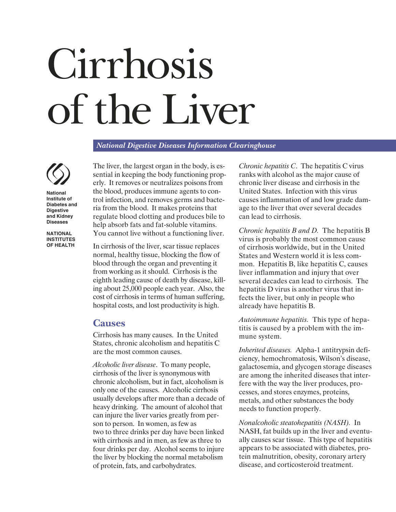# Cirrhosis of the Liver

*National Digestive Diseases Information Clearinghouse*



**National Institute of Diabetes and Digestive and Kidney Diseases**

**NATIONAL INSTITUTES OF HEALTH** The liver, the largest organ in the body, is essential in keeping the body functioning properly. It removes or neutralizes poisons from the blood, produces immune agents to control infection, and removes germs and bacteria from the blood. It makes proteins that regulate blood clotting and produces bile to help absorb fats and fat-soluble vitamins. You cannot live without a functioning liver.

In cirrhosis of the liver, scar tissue replaces normal, healthy tissue, blocking the flow of blood through the organ and preventing it from working as it should. Cirrhosis is the eighth leading cause of death by disease, killing about 25,000 people each year. Also, the cost of cirrhosis in terms of human suffering, hospital costs, and lost productivity is high.

### **Causes**

Cirrhosis has many causes. In the United States, chronic alcoholism and hepatitis C are the most common causes.

*Alcoholic liver disease*. To many people, cirrhosis of the liver is synonymous with chronic alcoholism, but in fact, alcoholism is only one of the causes. Alcoholic cirrhosis usually develops after more than a decade of heavy drinking. The amount of alcohol that can injure the liver varies greatly from person to person. In women, as few as two to three drinks per day have been linked with cirrhosis and in men, as few as three to four drinks per day. Alcohol seems to injure the liver by blocking the normal metabolism of protein, fats, and carbohydrates.

*Chronic hepatitis C*. The hepatitis C virus ranks with alcohol as the major cause of chronic liver disease and cirrhosis in the United States. Infection with this virus causes inflammation of and low grade damage to the liver that over several decades can lead to cirrhosis.

*Chronic hepatitis B and D.* The hepatitis B virus is probably the most common cause of cirrhosis worldwide, but in the United States and Western world it is less common. Hepatitis B, like hepatitis C, causes liver inflammation and injury that over several decades can lead to cirrhosis. The hepatitis D virus is another virus that infects the liver, but only in people who already have hepatitis B.

*Autoimmune hepatitis.* This type of hepatitis is caused by a problem with the immune system.

*Inherited diseases.* Alpha-1 antitrypsin deficiency, hemochromatosis, Wilson's disease, galactosemia, and glycogen storage diseases are among the inherited diseases that interfere with the way the liver produces, processes, and stores enzymes, proteins, metals, and other substances the body needs to function properly.

*Nonalcoholic steatohepatitis (NASH).* In NASH, fat builds up in the liver and eventually causes scar tissue. This type of hepatitis appears to be associated with diabetes, protein malnutrition, obesity, coronary artery disease, and corticosteroid treatment.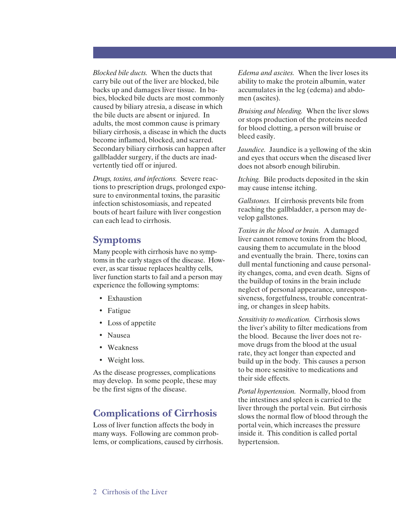*Blocked bile ducts.* When the ducts that carry bile out of the liver are blocked, bile backs up and damages liver tissue. In babies, blocked bile ducts are most commonly caused by biliary atresia, a disease in which the bile ducts are absent or injured. In adults, the most common cause is primary biliary cirrhosis, a disease in which the ducts become inflamed, blocked, and scarred. Secondary biliary cirrhosis can happen after gallbladder surgery, if the ducts are inadvertently tied off or injured.

*Drugs, toxins, and infections.* Severe reactions to prescription drugs, prolonged exposure to environmental toxins, the parasitic infection schistosomiasis, and repeated bouts of heart failure with liver congestion can each lead to cirrhosis.

#### **Symptoms**

Many people with cirrhosis have no symptoms in the early stages of the disease. However, as scar tissue replaces healthy cells, liver function starts to fail and a person may experience the following symptoms:

- Exhaustion
- Fatigue
- Loss of appetite
- Nausea
- Weakness
- Weight loss.

As the disease progresses, complications may develop. In some people, these may be the first signs of the disease.

# **Complications of Cirrhosis**

Loss of liver function affects the body in many ways. Following are common problems, or complications, caused by cirrhosis. *Edema and ascites.* When the liver loses its ability to make the protein albumin, water accumulates in the leg (edema) and abdomen (ascites).

*Bruising and bleeding.* When the liver slows or stops production of the proteins needed for blood clotting, a person will bruise or bleed easily.

*Jaundice.* Jaundice is a yellowing of the skin and eyes that occurs when the diseased liver does not absorb enough bilirubin.

*Itching.* Bile products deposited in the skin may cause intense itching.

*Gallstones.* If cirrhosis prevents bile from reaching the gallbladder, a person may develop gallstones.

*Toxins in the blood or brain.* A damaged liver cannot remove toxins from the blood, causing them to accumulate in the blood and eventually the brain. There, toxins can dull mental functioning and cause personality changes, coma, and even death. Signs of the buildup of toxins in the brain include neglect of personal appearance, unresponsiveness, forgetfulness, trouble concentrating, or changes in sleep habits.

*Sensitivity to medication.* Cirrhosis slows the liver's ability to filter medications from the blood. Because the liver does not remove drugs from the blood at the usual rate, they act longer than expected and build up in the body. This causes a person to be more sensitive to medications and their side effects.

*Portal hypertension.* Normally, blood from the intestines and spleen is carried to the liver through the portal vein. But cirrhosis slows the normal flow of blood through the portal vein, which increases the pressure inside it. This condition is called portal hypertension.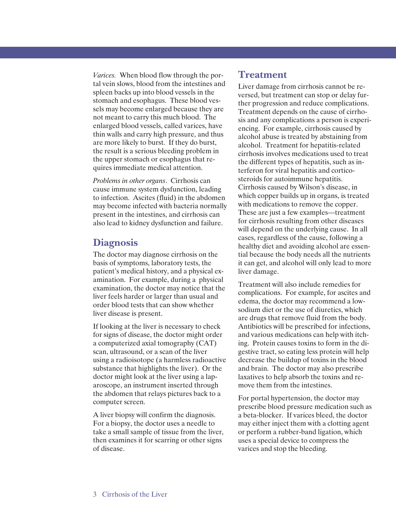*Varices.* When blood flow through the portal vein slows, blood from the intestines and spleen backs up into blood vessels in the stomach and esophagus. These blood vessels may become enlarged because they are not meant to carry this much blood. The enlarged blood vessels, called varices, have thin walls and carry high pressure, and thus are more likely to burst. If they do burst, the result is a serious bleeding problem in the upper stomach or esophagus that requires immediate medical attention.

*Problems in other organs*. Cirrhosis can cause immune system dysfunction, leading to infection. Ascites (fluid) in the abdomen may become infected with bacteria normally present in the intestines, and cirrhosis can also lead to kidney dysfunction and failure.

#### **Diagnosis**

The doctor may diagnose cirrhosis on the basis of symptoms, laboratory tests, the patient's medical history, and a physical examination. For example, during a physical examination, the doctor may notice that the liver feels harder or larger than usual and order blood tests that can show whether liver disease is present.

If looking at the liver is necessary to check for signs of disease, the doctor might order a computerized axial tomography (CAT) scan, ultrasound, or a scan of the liver using a radioisotope (a harmless radioactive substance that highlights the liver). Or the doctor might look at the liver using a laparoscope, an instrument inserted through the abdomen that relays pictures back to a computer screen.

A liver biopsy will confirm the diagnosis. For a biopsy, the doctor uses a needle to take a small sample of tissue from the liver, then examines it for scarring or other signs of disease.

#### **Treatment**

Liver damage from cirrhosis cannot be reversed, but treatment can stop or delay further progression and reduce complications. Treatment depends on the cause of cirrhosis and any complications a person is experiencing. For example, cirrhosis caused by alcohol abuse is treated by abstaining from alcohol. Treatment for hepatitis-related cirrhosis involves medications used to treat the different types of hepatitis, such as interferon for viral hepatitis and corticosteroids for autoimmune hepatitis. Cirrhosis caused by Wilson's disease, in which copper builds up in organs, is treated with medications to remove the copper. These are just a few examples—treatment for cirrhosis resulting from other diseases will depend on the underlying cause. In all cases, regardless of the cause, following a healthy diet and avoiding alcohol are essential because the body needs all the nutrients it can get, and alcohol will only lead to more liver damage.

Treatment will also include remedies for complications. For example, for ascites and edema, the doctor may recommend a lowsodium diet or the use of diuretics, which are drugs that remove fluid from the body. Antibiotics will be prescribed for infections, and various medications can help with itching. Protein causes toxins to form in the digestive tract, so eating less protein will help decrease the buildup of toxins in the blood and brain. The doctor may also prescribe laxatives to help absorb the toxins and remove them from the intestines.

For portal hypertension, the doctor may prescribe blood pressure medication such as a beta-blocker. If varices bleed, the doctor may either inject them with a clotting agent or perform a rubber-band ligation, which uses a special device to compress the varices and stop the bleeding.